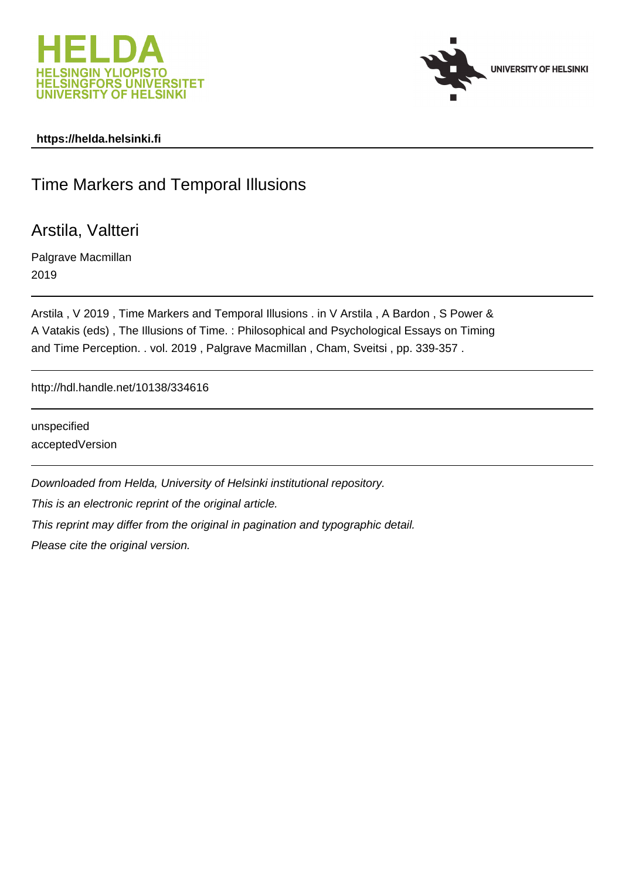



### **https://helda.helsinki.fi**

## Time Markers and Temporal Illusions

Arstila, Valtteri

Palgrave Macmillan 2019

Arstila , V 2019 , Time Markers and Temporal Illusions . in V Arstila , A Bardon , S Power & A Vatakis (eds) , The Illusions of Time. : Philosophical and Psychological Essays on Timing and Time Perception. . vol. 2019 , Palgrave Macmillan , Cham, Sveitsi , pp. 339-357 .

http://hdl.handle.net/10138/334616

unspecified acceptedVersion

Downloaded from Helda, University of Helsinki institutional repository.

This is an electronic reprint of the original article.

This reprint may differ from the original in pagination and typographic detail.

Please cite the original version.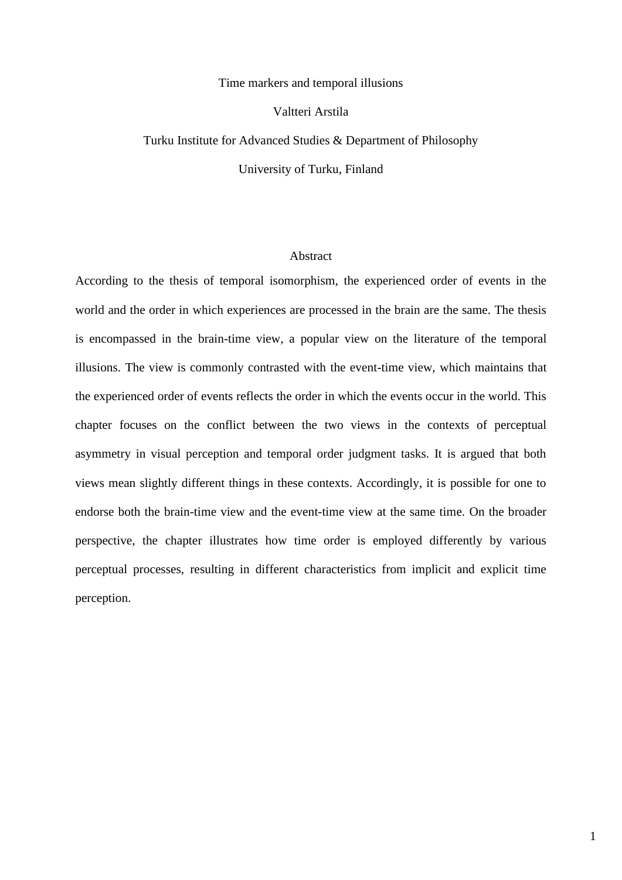#### Time markers and temporal illusions

Valtteri Arstila

# Turku Institute for Advanced Studies & Department of Philosophy University of Turku, Finland

#### Abstract

According to the thesis of temporal isomorphism, the experienced order of events in the world and the order in which experiences are processed in the brain are the same. The thesis is encompassed in the brain-time view, a popular view on the literature of the temporal illusions. The view is commonly contrasted with the event-time view, which maintains that the experienced order of events reflects the order in which the events occur in the world. This chapter focuses on the conflict between the two views in the contexts of perceptual asymmetry in visual perception and temporal order judgment tasks. It is argued that both views mean slightly different things in these contexts. Accordingly, it is possible for one to endorse both the brain-time view and the event-time view at the same time. On the broader perspective, the chapter illustrates how time order is employed differently by various perceptual processes, resulting in different characteristics from implicit and explicit time perception.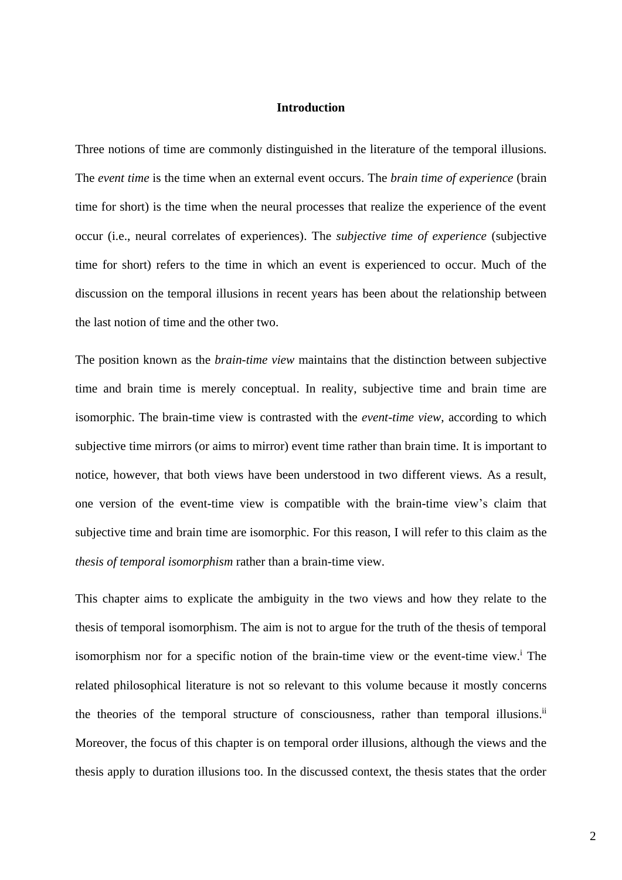#### **Introduction**

Three notions of time are commonly distinguished in the literature of the temporal illusions. The *event time* is the time when an external event occurs. The *brain time of experience* (brain time for short) is the time when the neural processes that realize the experience of the event occur (i.e., neural correlates of experiences). The *subjective time of experience* (subjective time for short) refers to the time in which an event is experienced to occur. Much of the discussion on the temporal illusions in recent years has been about the relationship between the last notion of time and the other two.

The position known as the *brain-time view* maintains that the distinction between subjective time and brain time is merely conceptual. In reality, subjective time and brain time are isomorphic. The brain-time view is contrasted with the *event-time view*, according to which subjective time mirrors (or aims to mirror) event time rather than brain time. It is important to notice, however, that both views have been understood in two different views. As a result, one version of the event-time view is compatible with the brain-time view's claim that subjective time and brain time are isomorphic. For this reason, I will refer to this claim as the *thesis of temporal isomorphism* rather than a brain-time view.

This chapter aims to explicate the ambiguity in the two views and how they relate to the thesis of temporal isomorphism. The aim is not to argue for the truth of the thesis of temporal isomorphism nor for a specific notion of the brain-time view or the event-time view.<sup>i</sup> The related philosophical literature is not so relevant to this volume because it mostly concerns the theories of the temporal structure of consciousness, rather than temporal illusions.<sup>ii</sup> Moreover, the focus of this chapter is on temporal order illusions, although the views and the thesis apply to duration illusions too. In the discussed context, the thesis states that the order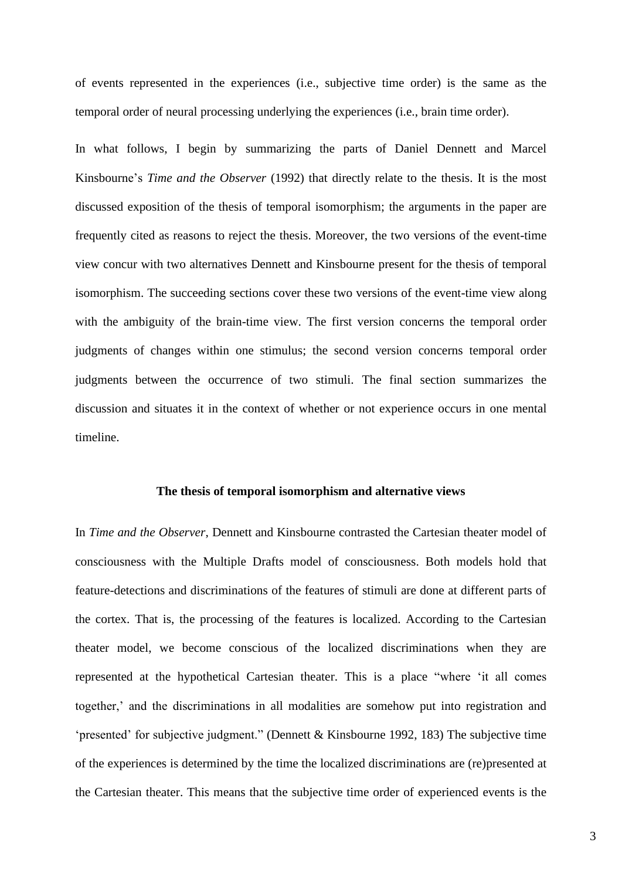of events represented in the experiences (i.e., subjective time order) is the same as the temporal order of neural processing underlying the experiences (i.e., brain time order).

In what follows, I begin by summarizing the parts of Daniel Dennett and Marcel Kinsbourne's *Time and the Observer* (1992) that directly relate to the thesis. It is the most discussed exposition of the thesis of temporal isomorphism; the arguments in the paper are frequently cited as reasons to reject the thesis. Moreover, the two versions of the event-time view concur with two alternatives Dennett and Kinsbourne present for the thesis of temporal isomorphism. The succeeding sections cover these two versions of the event-time view along with the ambiguity of the brain-time view. The first version concerns the temporal order judgments of changes within one stimulus; the second version concerns temporal order judgments between the occurrence of two stimuli. The final section summarizes the discussion and situates it in the context of whether or not experience occurs in one mental timeline.

#### **The thesis of temporal isomorphism and alternative views**

In *Time and the Observer*, Dennett and Kinsbourne contrasted the Cartesian theater model of consciousness with the Multiple Drafts model of consciousness. Both models hold that feature-detections and discriminations of the features of stimuli are done at different parts of the cortex. That is, the processing of the features is localized. According to the Cartesian theater model, we become conscious of the localized discriminations when they are represented at the hypothetical Cartesian theater. This is a place "where 'it all comes together,' and the discriminations in all modalities are somehow put into registration and 'presented' for subjective judgment." (Dennett & Kinsbourne 1992, 183) The subjective time of the experiences is determined by the time the localized discriminations are (re)presented at the Cartesian theater. This means that the subjective time order of experienced events is the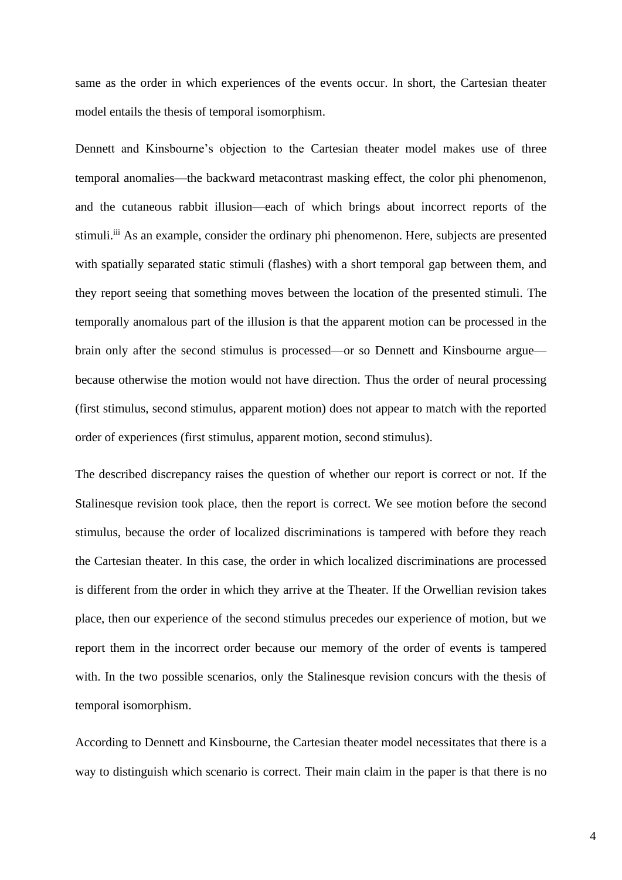same as the order in which experiences of the events occur. In short, the Cartesian theater model entails the thesis of temporal isomorphism.

Dennett and Kinsbourne's objection to the Cartesian theater model makes use of three temporal anomalies—the backward metacontrast masking effect, the color phi phenomenon, and the cutaneous rabbit illusion—each of which brings about incorrect reports of the stimuli.<sup>iii</sup> As an example, consider the ordinary phi phenomenon. Here, subjects are presented with spatially separated static stimuli (flashes) with a short temporal gap between them, and they report seeing that something moves between the location of the presented stimuli. The temporally anomalous part of the illusion is that the apparent motion can be processed in the brain only after the second stimulus is processed—or so Dennett and Kinsbourne argue because otherwise the motion would not have direction. Thus the order of neural processing (first stimulus, second stimulus, apparent motion) does not appear to match with the reported order of experiences (first stimulus, apparent motion, second stimulus).

The described discrepancy raises the question of whether our report is correct or not. If the Stalinesque revision took place, then the report is correct. We see motion before the second stimulus, because the order of localized discriminations is tampered with before they reach the Cartesian theater. In this case, the order in which localized discriminations are processed is different from the order in which they arrive at the Theater. If the Orwellian revision takes place, then our experience of the second stimulus precedes our experience of motion, but we report them in the incorrect order because our memory of the order of events is tampered with. In the two possible scenarios, only the Stalinesque revision concurs with the thesis of temporal isomorphism.

According to Dennett and Kinsbourne, the Cartesian theater model necessitates that there is a way to distinguish which scenario is correct. Their main claim in the paper is that there is no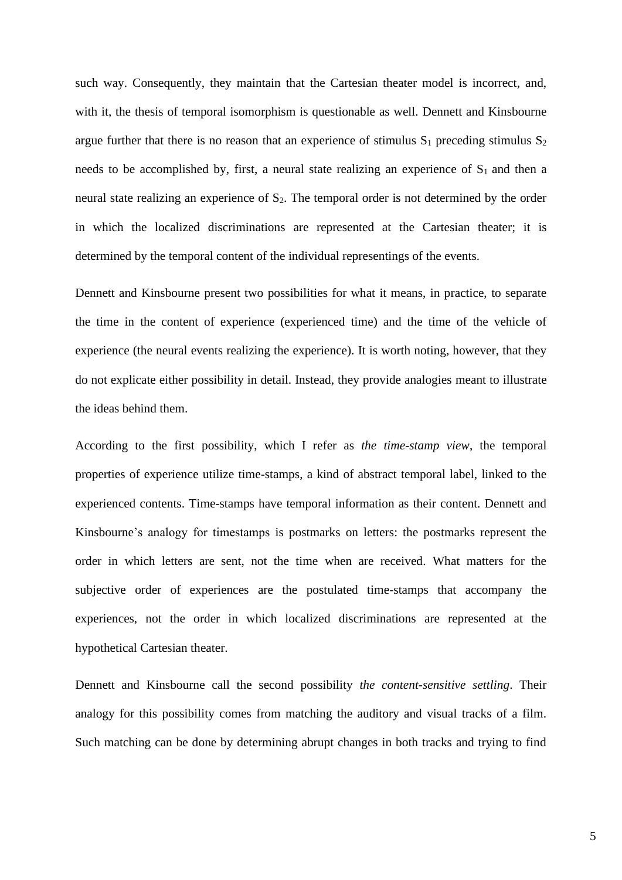such way. Consequently, they maintain that the Cartesian theater model is incorrect, and, with it, the thesis of temporal isomorphism is questionable as well. Dennett and Kinsbourne argue further that there is no reason that an experience of stimulus  $S_1$  preceding stimulus  $S_2$ needs to be accomplished by, first, a neural state realizing an experience of  $S_1$  and then a neural state realizing an experience of  $S_2$ . The temporal order is not determined by the order in which the localized discriminations are represented at the Cartesian theater; it is determined by the temporal content of the individual representings of the events.

Dennett and Kinsbourne present two possibilities for what it means, in practice, to separate the time in the content of experience (experienced time) and the time of the vehicle of experience (the neural events realizing the experience). It is worth noting, however, that they do not explicate either possibility in detail. Instead, they provide analogies meant to illustrate the ideas behind them.

According to the first possibility, which I refer as *the time-stamp view*, the temporal properties of experience utilize time-stamps, a kind of abstract temporal label, linked to the experienced contents. Time-stamps have temporal information as their content. Dennett and Kinsbourne's analogy for timestamps is postmarks on letters: the postmarks represent the order in which letters are sent, not the time when are received. What matters for the subjective order of experiences are the postulated time-stamps that accompany the experiences, not the order in which localized discriminations are represented at the hypothetical Cartesian theater.

Dennett and Kinsbourne call the second possibility *the content-sensitive settling*. Their analogy for this possibility comes from matching the auditory and visual tracks of a film. Such matching can be done by determining abrupt changes in both tracks and trying to find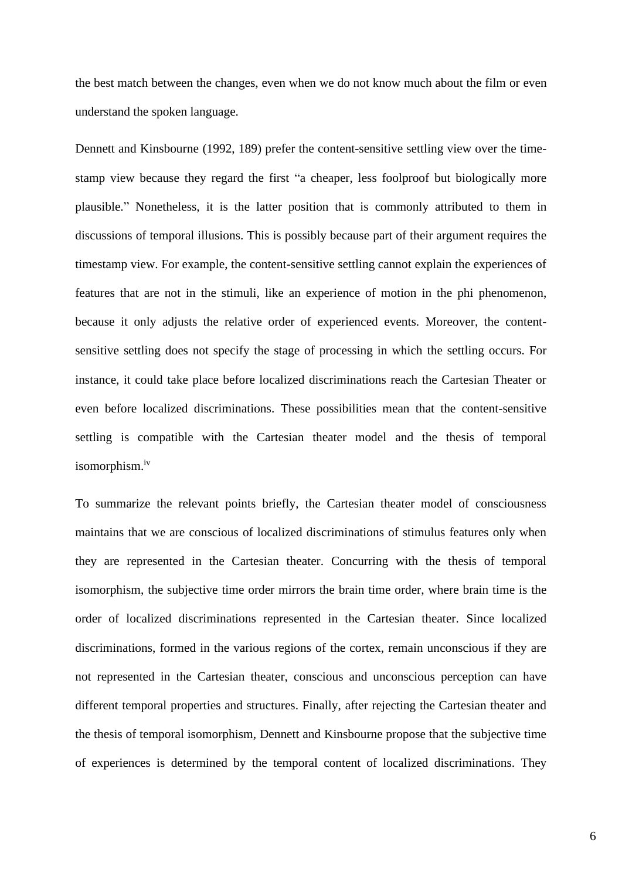the best match between the changes, even when we do not know much about the film or even understand the spoken language.

Dennett and Kinsbourne (1992, 189) prefer the content-sensitive settling view over the timestamp view because they regard the first "a cheaper, less foolproof but biologically more plausible." Nonetheless, it is the latter position that is commonly attributed to them in discussions of temporal illusions. This is possibly because part of their argument requires the timestamp view. For example, the content-sensitive settling cannot explain the experiences of features that are not in the stimuli, like an experience of motion in the phi phenomenon, because it only adjusts the relative order of experienced events. Moreover, the contentsensitive settling does not specify the stage of processing in which the settling occurs. For instance, it could take place before localized discriminations reach the Cartesian Theater or even before localized discriminations. These possibilities mean that the content-sensitive settling is compatible with the Cartesian theater model and the thesis of temporal isomorphism. iv

To summarize the relevant points briefly, the Cartesian theater model of consciousness maintains that we are conscious of localized discriminations of stimulus features only when they are represented in the Cartesian theater. Concurring with the thesis of temporal isomorphism, the subjective time order mirrors the brain time order, where brain time is the order of localized discriminations represented in the Cartesian theater. Since localized discriminations, formed in the various regions of the cortex, remain unconscious if they are not represented in the Cartesian theater, conscious and unconscious perception can have different temporal properties and structures. Finally, after rejecting the Cartesian theater and the thesis of temporal isomorphism, Dennett and Kinsbourne propose that the subjective time of experiences is determined by the temporal content of localized discriminations. They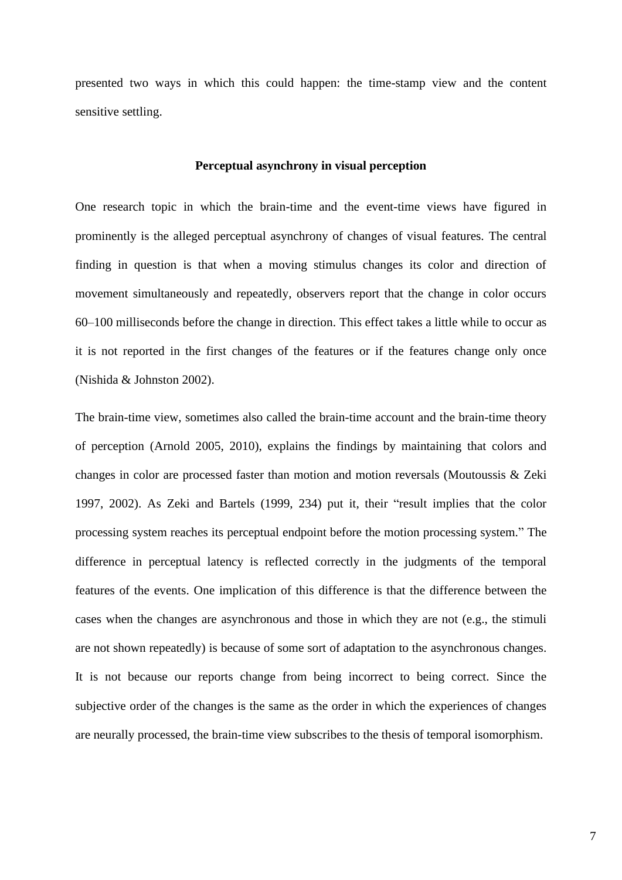presented two ways in which this could happen: the time-stamp view and the content sensitive settling.

#### **Perceptual asynchrony in visual perception**

One research topic in which the brain-time and the event-time views have figured in prominently is the alleged perceptual asynchrony of changes of visual features. The central finding in question is that when a moving stimulus changes its color and direction of movement simultaneously and repeatedly, observers report that the change in color occurs 60–100 milliseconds before the change in direction. This effect takes a little while to occur as it is not reported in the first changes of the features or if the features change only once (Nishida & Johnston 2002).

The brain-time view, sometimes also called the brain-time account and the brain-time theory of perception (Arnold 2005, 2010), explains the findings by maintaining that colors and changes in color are processed faster than motion and motion reversals (Moutoussis & Zeki 1997, 2002). As Zeki and Bartels (1999, 234) put it, their "result implies that the color processing system reaches its perceptual endpoint before the motion processing system." The difference in perceptual latency is reflected correctly in the judgments of the temporal features of the events. One implication of this difference is that the difference between the cases when the changes are asynchronous and those in which they are not (e.g., the stimuli are not shown repeatedly) is because of some sort of adaptation to the asynchronous changes. It is not because our reports change from being incorrect to being correct. Since the subjective order of the changes is the same as the order in which the experiences of changes are neurally processed, the brain-time view subscribes to the thesis of temporal isomorphism.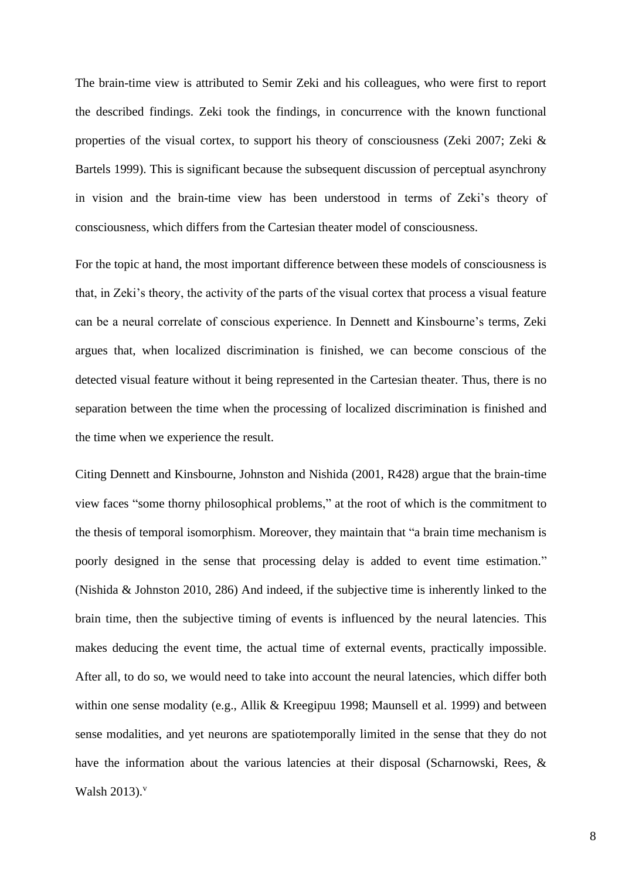The brain-time view is attributed to Semir Zeki and his colleagues, who were first to report the described findings. Zeki took the findings, in concurrence with the known functional properties of the visual cortex, to support his theory of consciousness (Zeki 2007; Zeki & Bartels 1999). This is significant because the subsequent discussion of perceptual asynchrony in vision and the brain-time view has been understood in terms of Zeki's theory of consciousness, which differs from the Cartesian theater model of consciousness.

For the topic at hand, the most important difference between these models of consciousness is that, in Zeki's theory, the activity of the parts of the visual cortex that process a visual feature can be a neural correlate of conscious experience. In Dennett and Kinsbourne's terms, Zeki argues that, when localized discrimination is finished, we can become conscious of the detected visual feature without it being represented in the Cartesian theater. Thus, there is no separation between the time when the processing of localized discrimination is finished and the time when we experience the result.

Citing Dennett and Kinsbourne, Johnston and Nishida (2001, R428) argue that the brain-time view faces "some thorny philosophical problems," at the root of which is the commitment to the thesis of temporal isomorphism. Moreover, they maintain that "a brain time mechanism is poorly designed in the sense that processing delay is added to event time estimation." (Nishida & Johnston 2010, 286) And indeed, if the subjective time is inherently linked to the brain time, then the subjective timing of events is influenced by the neural latencies. This makes deducing the event time, the actual time of external events, practically impossible. After all, to do so, we would need to take into account the neural latencies, which differ both within one sense modality (e.g., Allik & Kreegipuu 1998; Maunsell et al. 1999) and between sense modalities, and yet neurons are spatiotemporally limited in the sense that they do not have the information about the various latencies at their disposal (Scharnowski, Rees, & Walsh 2013).<sup>v</sup>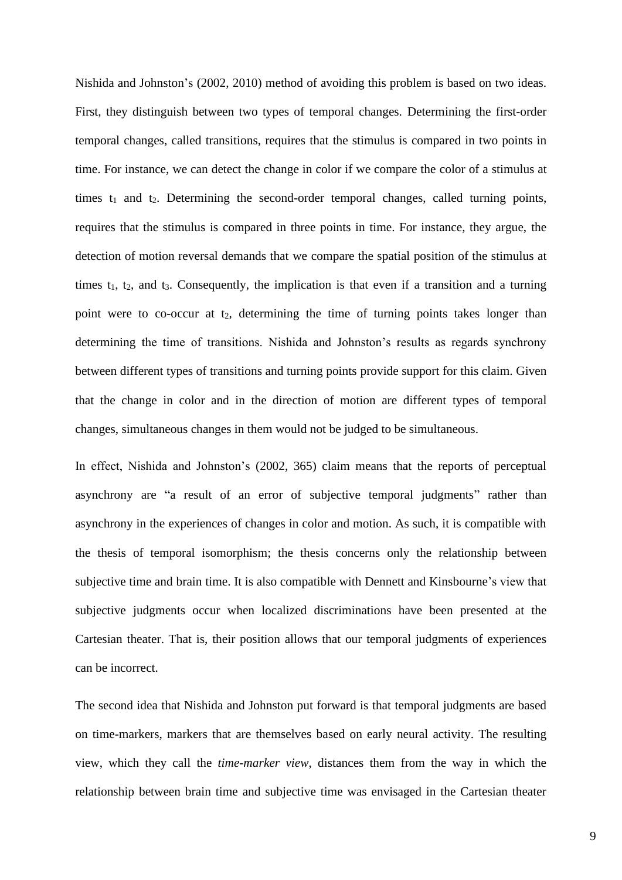Nishida and Johnston's (2002, 2010) method of avoiding this problem is based on two ideas. First, they distinguish between two types of temporal changes. Determining the first-order temporal changes, called transitions, requires that the stimulus is compared in two points in time. For instance, we can detect the change in color if we compare the color of a stimulus at times  $t_1$  and  $t_2$ . Determining the second-order temporal changes, called turning points, requires that the stimulus is compared in three points in time. For instance, they argue, the detection of motion reversal demands that we compare the spatial position of the stimulus at times  $t_1$ ,  $t_2$ , and  $t_3$ . Consequently, the implication is that even if a transition and a turning point were to co-occur at  $t_2$ , determining the time of turning points takes longer than determining the time of transitions. Nishida and Johnston's results as regards synchrony between different types of transitions and turning points provide support for this claim. Given that the change in color and in the direction of motion are different types of temporal changes, simultaneous changes in them would not be judged to be simultaneous.

In effect, Nishida and Johnston's (2002, 365) claim means that the reports of perceptual asynchrony are "a result of an error of subjective temporal judgments" rather than asynchrony in the experiences of changes in color and motion. As such, it is compatible with the thesis of temporal isomorphism; the thesis concerns only the relationship between subjective time and brain time. It is also compatible with Dennett and Kinsbourne's view that subjective judgments occur when localized discriminations have been presented at the Cartesian theater. That is, their position allows that our temporal judgments of experiences can be incorrect.

The second idea that Nishida and Johnston put forward is that temporal judgments are based on time-markers, markers that are themselves based on early neural activity. The resulting view, which they call the *time-marker view*, distances them from the way in which the relationship between brain time and subjective time was envisaged in the Cartesian theater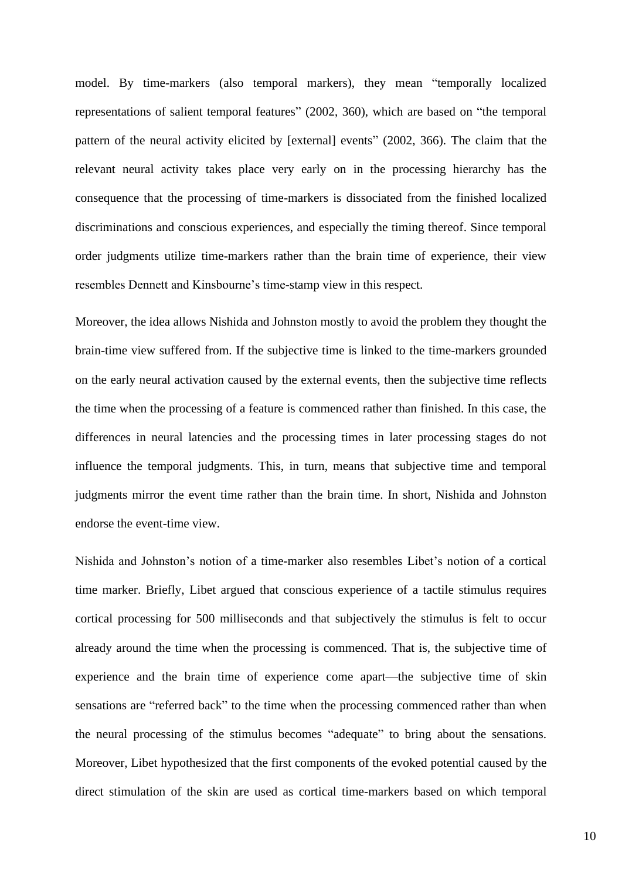model. By time-markers (also temporal markers), they mean "temporally localized representations of salient temporal features" (2002, 360), which are based on "the temporal pattern of the neural activity elicited by [external] events" (2002, 366). The claim that the relevant neural activity takes place very early on in the processing hierarchy has the consequence that the processing of time-markers is dissociated from the finished localized discriminations and conscious experiences, and especially the timing thereof. Since temporal order judgments utilize time-markers rather than the brain time of experience, their view resembles Dennett and Kinsbourne's time-stamp view in this respect.

Moreover, the idea allows Nishida and Johnston mostly to avoid the problem they thought the brain-time view suffered from. If the subjective time is linked to the time-markers grounded on the early neural activation caused by the external events, then the subjective time reflects the time when the processing of a feature is commenced rather than finished. In this case, the differences in neural latencies and the processing times in later processing stages do not influence the temporal judgments. This, in turn, means that subjective time and temporal judgments mirror the event time rather than the brain time. In short, Nishida and Johnston endorse the event-time view.

Nishida and Johnston's notion of a time-marker also resembles Libet's notion of a cortical time marker. Briefly, Libet argued that conscious experience of a tactile stimulus requires cortical processing for 500 milliseconds and that subjectively the stimulus is felt to occur already around the time when the processing is commenced. That is, the subjective time of experience and the brain time of experience come apart—the subjective time of skin sensations are "referred back" to the time when the processing commenced rather than when the neural processing of the stimulus becomes "adequate" to bring about the sensations. Moreover, Libet hypothesized that the first components of the evoked potential caused by the direct stimulation of the skin are used as cortical time-markers based on which temporal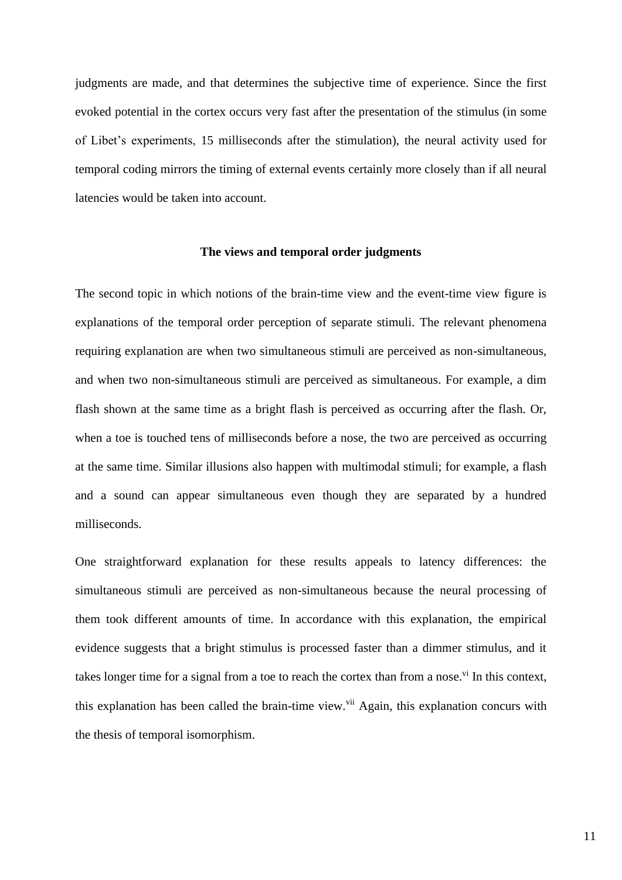judgments are made, and that determines the subjective time of experience. Since the first evoked potential in the cortex occurs very fast after the presentation of the stimulus (in some of Libet's experiments, 15 milliseconds after the stimulation), the neural activity used for temporal coding mirrors the timing of external events certainly more closely than if all neural latencies would be taken into account.

#### **The views and temporal order judgments**

The second topic in which notions of the brain-time view and the event-time view figure is explanations of the temporal order perception of separate stimuli. The relevant phenomena requiring explanation are when two simultaneous stimuli are perceived as non-simultaneous, and when two non-simultaneous stimuli are perceived as simultaneous. For example, a dim flash shown at the same time as a bright flash is perceived as occurring after the flash. Or, when a toe is touched tens of milliseconds before a nose, the two are perceived as occurring at the same time. Similar illusions also happen with multimodal stimuli; for example, a flash and a sound can appear simultaneous even though they are separated by a hundred milliseconds.

One straightforward explanation for these results appeals to latency differences: the simultaneous stimuli are perceived as non-simultaneous because the neural processing of them took different amounts of time. In accordance with this explanation, the empirical evidence suggests that a bright stimulus is processed faster than a dimmer stimulus, and it takes longer time for a signal from a toe to reach the cortex than from a nose.<sup>vi</sup> In this context, this explanation has been called the brain-time view.<sup>vii</sup> Again, this explanation concurs with the thesis of temporal isomorphism.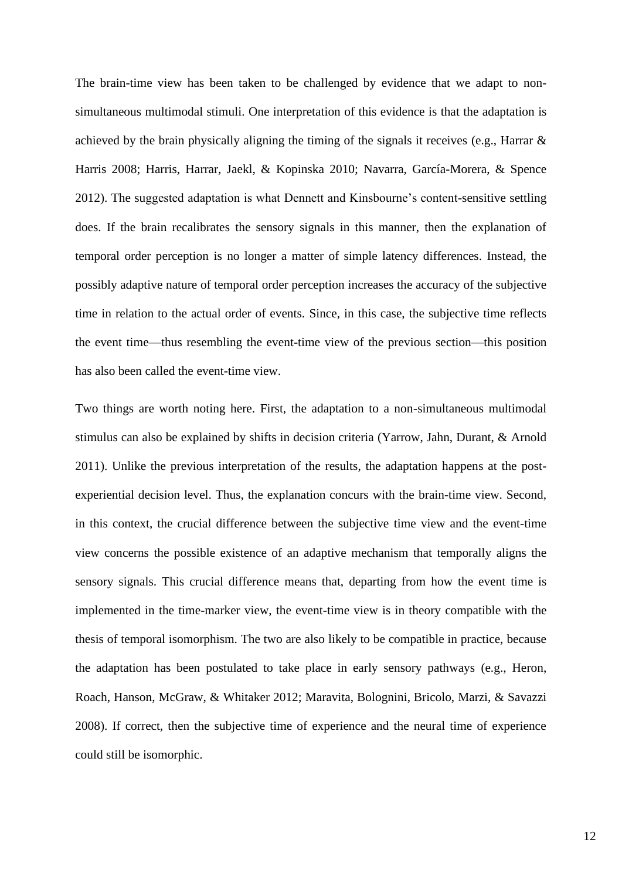The brain-time view has been taken to be challenged by evidence that we adapt to nonsimultaneous multimodal stimuli. One interpretation of this evidence is that the adaptation is achieved by the brain physically aligning the timing of the signals it receives (e.g., Harrar & Harris 2008; Harris, Harrar, Jaekl, & Kopinska 2010; Navarra, García-Morera, & Spence 2012). The suggested adaptation is what Dennett and Kinsbourne's content-sensitive settling does. If the brain recalibrates the sensory signals in this manner, then the explanation of temporal order perception is no longer a matter of simple latency differences. Instead, the possibly adaptive nature of temporal order perception increases the accuracy of the subjective time in relation to the actual order of events. Since, in this case, the subjective time reflects the event time—thus resembling the event-time view of the previous section—this position has also been called the event-time view.

Two things are worth noting here. First, the adaptation to a non-simultaneous multimodal stimulus can also be explained by shifts in decision criteria (Yarrow, Jahn, Durant, & Arnold 2011). Unlike the previous interpretation of the results, the adaptation happens at the postexperiential decision level. Thus, the explanation concurs with the brain-time view. Second, in this context, the crucial difference between the subjective time view and the event-time view concerns the possible existence of an adaptive mechanism that temporally aligns the sensory signals. This crucial difference means that, departing from how the event time is implemented in the time-marker view, the event-time view is in theory compatible with the thesis of temporal isomorphism. The two are also likely to be compatible in practice, because the adaptation has been postulated to take place in early sensory pathways (e.g., Heron, Roach, Hanson, McGraw, & Whitaker 2012; Maravita, Bolognini, Bricolo, Marzi, & Savazzi 2008). If correct, then the subjective time of experience and the neural time of experience could still be isomorphic.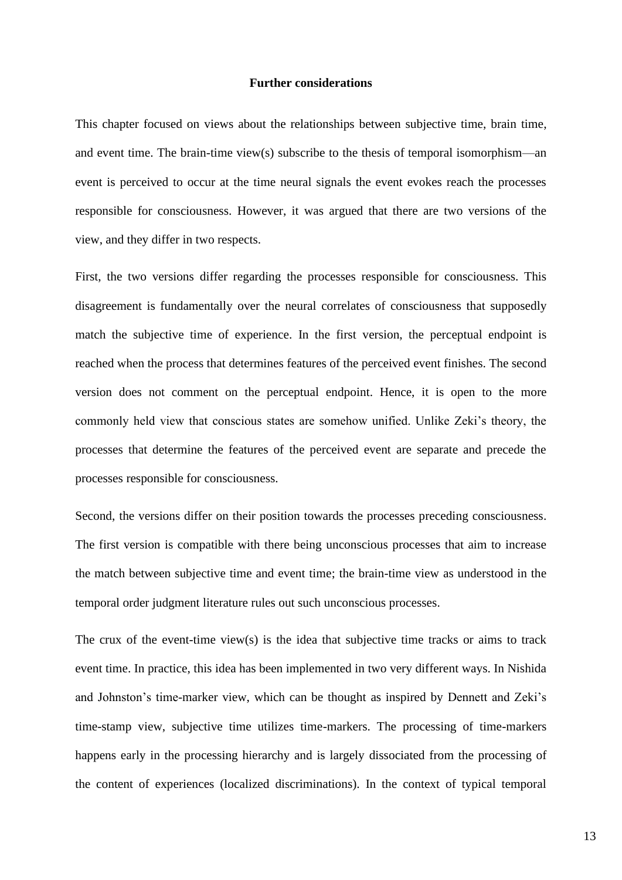#### **Further considerations**

This chapter focused on views about the relationships between subjective time, brain time, and event time. The brain-time view(s) subscribe to the thesis of temporal isomorphism—an event is perceived to occur at the time neural signals the event evokes reach the processes responsible for consciousness. However, it was argued that there are two versions of the view, and they differ in two respects.

First, the two versions differ regarding the processes responsible for consciousness. This disagreement is fundamentally over the neural correlates of consciousness that supposedly match the subjective time of experience. In the first version, the perceptual endpoint is reached when the process that determines features of the perceived event finishes. The second version does not comment on the perceptual endpoint. Hence, it is open to the more commonly held view that conscious states are somehow unified. Unlike Zeki's theory, the processes that determine the features of the perceived event are separate and precede the processes responsible for consciousness.

Second, the versions differ on their position towards the processes preceding consciousness. The first version is compatible with there being unconscious processes that aim to increase the match between subjective time and event time; the brain-time view as understood in the temporal order judgment literature rules out such unconscious processes.

The crux of the event-time view(s) is the idea that subjective time tracks or aims to track event time. In practice, this idea has been implemented in two very different ways. In Nishida and Johnston's time-marker view, which can be thought as inspired by Dennett and Zeki's time-stamp view, subjective time utilizes time-markers. The processing of time-markers happens early in the processing hierarchy and is largely dissociated from the processing of the content of experiences (localized discriminations). In the context of typical temporal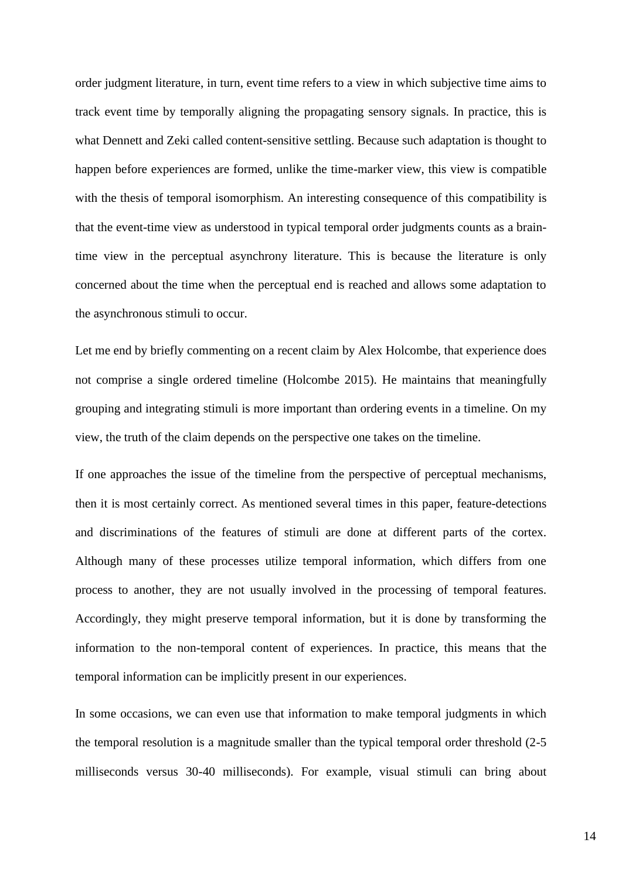order judgment literature, in turn, event time refers to a view in which subjective time aims to track event time by temporally aligning the propagating sensory signals. In practice, this is what Dennett and Zeki called content-sensitive settling. Because such adaptation is thought to happen before experiences are formed, unlike the time-marker view, this view is compatible with the thesis of temporal isomorphism. An interesting consequence of this compatibility is that the event-time view as understood in typical temporal order judgments counts as a braintime view in the perceptual asynchrony literature. This is because the literature is only concerned about the time when the perceptual end is reached and allows some adaptation to the asynchronous stimuli to occur.

Let me end by briefly commenting on a recent claim by Alex Holcombe, that experience does not comprise a single ordered timeline (Holcombe 2015). He maintains that meaningfully grouping and integrating stimuli is more important than ordering events in a timeline. On my view, the truth of the claim depends on the perspective one takes on the timeline.

If one approaches the issue of the timeline from the perspective of perceptual mechanisms, then it is most certainly correct. As mentioned several times in this paper, feature-detections and discriminations of the features of stimuli are done at different parts of the cortex. Although many of these processes utilize temporal information, which differs from one process to another, they are not usually involved in the processing of temporal features. Accordingly, they might preserve temporal information, but it is done by transforming the information to the non-temporal content of experiences. In practice, this means that the temporal information can be implicitly present in our experiences.

In some occasions, we can even use that information to make temporal judgments in which the temporal resolution is a magnitude smaller than the typical temporal order threshold (2-5 milliseconds versus 30-40 milliseconds). For example, visual stimuli can bring about

14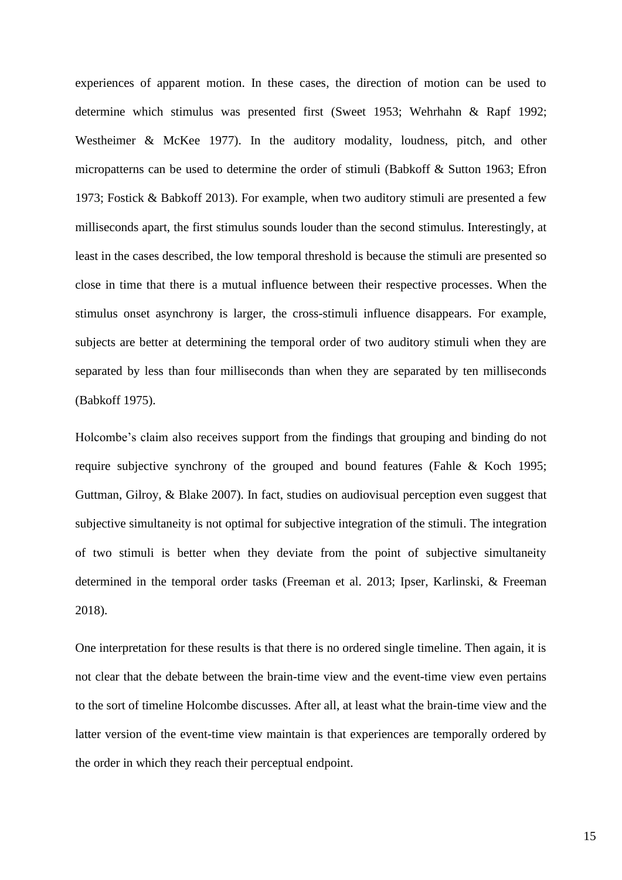experiences of apparent motion. In these cases, the direction of motion can be used to determine which stimulus was presented first (Sweet 1953; Wehrhahn & Rapf 1992; Westheimer & McKee 1977). In the auditory modality, loudness, pitch, and other micropatterns can be used to determine the order of stimuli (Babkoff & Sutton 1963; Efron 1973; Fostick & Babkoff 2013). For example, when two auditory stimuli are presented a few milliseconds apart, the first stimulus sounds louder than the second stimulus. Interestingly, at least in the cases described, the low temporal threshold is because the stimuli are presented so close in time that there is a mutual influence between their respective processes. When the stimulus onset asynchrony is larger, the cross-stimuli influence disappears. For example, subjects are better at determining the temporal order of two auditory stimuli when they are separated by less than four milliseconds than when they are separated by ten milliseconds (Babkoff 1975).

Holcombe's claim also receives support from the findings that grouping and binding do not require subjective synchrony of the grouped and bound features (Fahle & Koch 1995; Guttman, Gilroy, & Blake 2007). In fact, studies on audiovisual perception even suggest that subjective simultaneity is not optimal for subjective integration of the stimuli. The integration of two stimuli is better when they deviate from the point of subjective simultaneity determined in the temporal order tasks (Freeman et al. 2013; Ipser, Karlinski, & Freeman 2018).

One interpretation for these results is that there is no ordered single timeline. Then again, it is not clear that the debate between the brain-time view and the event-time view even pertains to the sort of timeline Holcombe discusses. After all, at least what the brain-time view and the latter version of the event-time view maintain is that experiences are temporally ordered by the order in which they reach their perceptual endpoint.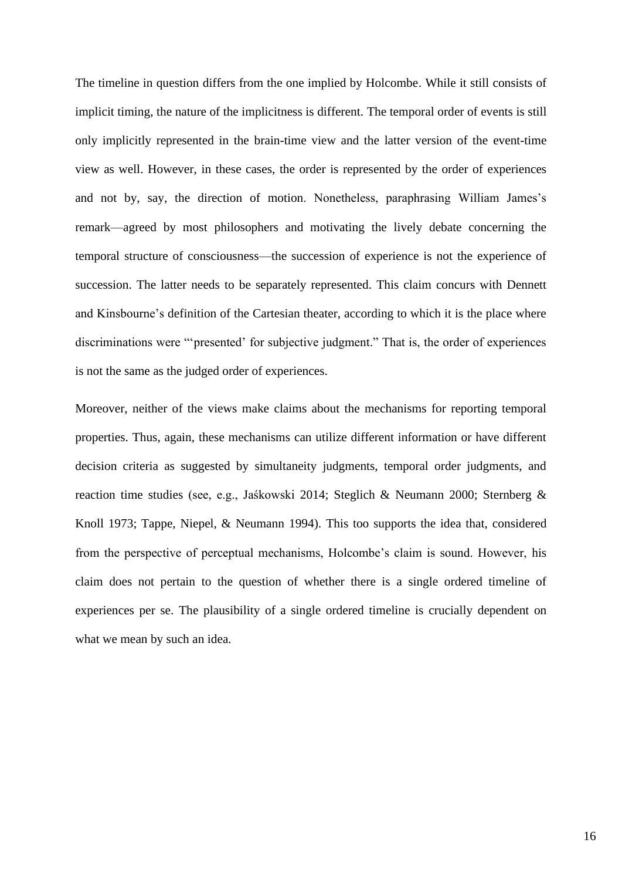The timeline in question differs from the one implied by Holcombe. While it still consists of implicit timing, the nature of the implicitness is different. The temporal order of events is still only implicitly represented in the brain-time view and the latter version of the event-time view as well. However, in these cases, the order is represented by the order of experiences and not by, say, the direction of motion. Nonetheless, paraphrasing William James's remark—agreed by most philosophers and motivating the lively debate concerning the temporal structure of consciousness—the succession of experience is not the experience of succession. The latter needs to be separately represented. This claim concurs with Dennett and Kinsbourne's definition of the Cartesian theater, according to which it is the place where discriminations were "'presented' for subjective judgment." That is, the order of experiences is not the same as the judged order of experiences.

Moreover, neither of the views make claims about the mechanisms for reporting temporal properties. Thus, again, these mechanisms can utilize different information or have different decision criteria as suggested by simultaneity judgments, temporal order judgments, and reaction time studies (see, e.g., Jaśkowski 2014; Steglich & Neumann 2000; Sternberg & Knoll 1973; Tappe, Niepel, & Neumann 1994). This too supports the idea that, considered from the perspective of perceptual mechanisms, Holcombe's claim is sound. However, his claim does not pertain to the question of whether there is a single ordered timeline of experiences per se. The plausibility of a single ordered timeline is crucially dependent on what we mean by such an idea.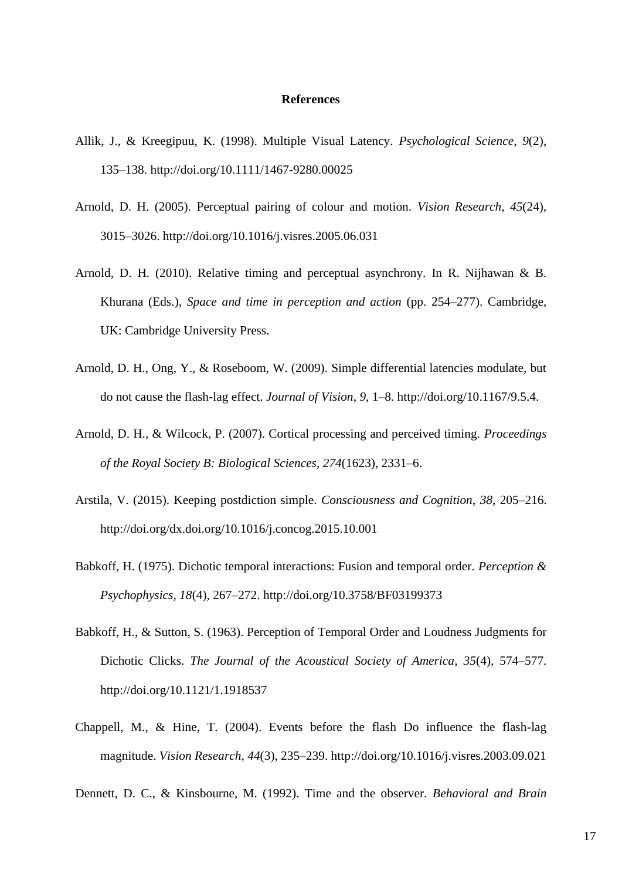#### **References**

- Allik, J., & Kreegipuu, K. (1998). Multiple Visual Latency. *Psychological Science*, *9*(2), 135–138. http://doi.org/10.1111/1467-9280.00025
- Arnold, D. H. (2005). Perceptual pairing of colour and motion. *Vision Research*, *45*(24), 3015–3026. http://doi.org/10.1016/j.visres.2005.06.031
- Arnold, D. H. (2010). Relative timing and perceptual asynchrony. In R. Nijhawan & B. Khurana (Eds.), *Space and time in perception and action* (pp. 254–277). Cambridge, UK: Cambridge University Press.
- Arnold, D. H., Ong, Y., & Roseboom, W. (2009). Simple differential latencies modulate, but do not cause the flash-lag effect. *Journal of Vision*, *9*, 1–8. http://doi.org/10.1167/9.5.4.
- Arnold, D. H., & Wilcock, P. (2007). Cortical processing and perceived timing. *Proceedings of the Royal Society B: Biological Sciences*, *274*(1623), 2331–6.
- Arstila, V. (2015). Keeping postdiction simple. *Consciousness and Cognition*, *38*, 205–216. http://doi.org/dx.doi.org/10.1016/j.concog.2015.10.001
- Babkoff, H. (1975). Dichotic temporal interactions: Fusion and temporal order. *Perception & Psychophysics*, *18*(4), 267–272. http://doi.org/10.3758/BF03199373
- Babkoff, H., & Sutton, S. (1963). Perception of Temporal Order and Loudness Judgments for Dichotic Clicks. *The Journal of the Acoustical Society of America*, *35*(4), 574–577. http://doi.org/10.1121/1.1918537
- Chappell, M., & Hine, T. (2004). Events before the flash Do influence the flash-lag magnitude. *Vision Research*, *44*(3), 235–239. http://doi.org/10.1016/j.visres.2003.09.021

Dennett, D. C., & Kinsbourne, M. (1992). Time and the observer. *Behavioral and Brain*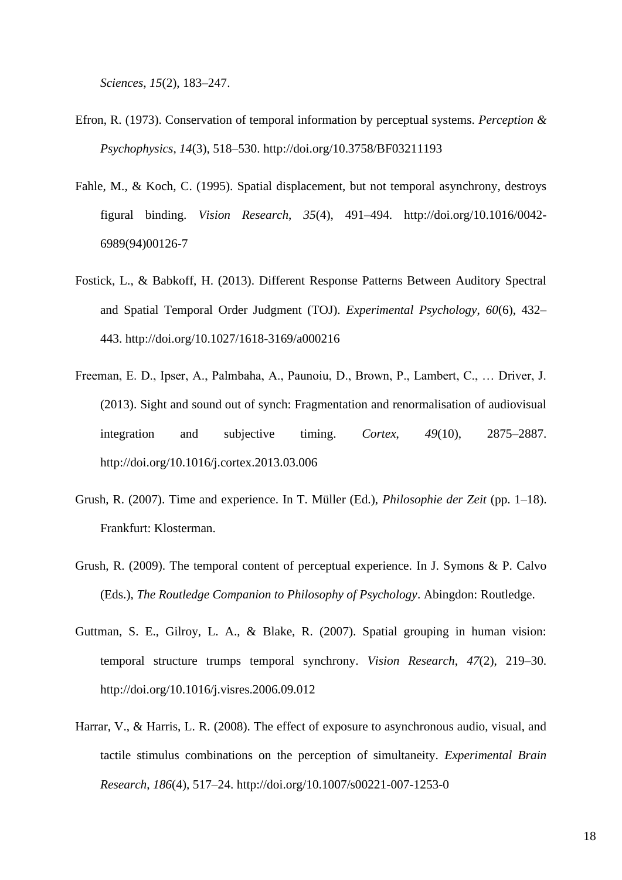*Sciences*, *15*(2), 183–247.

- Efron, R. (1973). Conservation of temporal information by perceptual systems. *Perception & Psychophysics*, *14*(3), 518–530. http://doi.org/10.3758/BF03211193
- Fahle, M., & Koch, C. (1995). Spatial displacement, but not temporal asynchrony, destroys figural binding. *Vision Research*, *35*(4), 491–494. http://doi.org/10.1016/0042- 6989(94)00126-7
- Fostick, L., & Babkoff, H. (2013). Different Response Patterns Between Auditory Spectral and Spatial Temporal Order Judgment (TOJ). *Experimental Psychology*, *60*(6), 432– 443. http://doi.org/10.1027/1618-3169/a000216
- Freeman, E. D., Ipser, A., Palmbaha, A., Paunoiu, D., Brown, P., Lambert, C., … Driver, J. (2013). Sight and sound out of synch: Fragmentation and renormalisation of audiovisual integration and subjective timing. *Cortex*, *49*(10), 2875–2887. http://doi.org/10.1016/j.cortex.2013.03.006
- Grush, R. (2007). Time and experience. In T. Müller (Ed.), *Philosophie der Zeit* (pp. 1–18). Frankfurt: Klosterman.
- Grush, R. (2009). The temporal content of perceptual experience. In J. Symons & P. Calvo (Eds.), *The Routledge Companion to Philosophy of Psychology*. Abingdon: Routledge.
- Guttman, S. E., Gilroy, L. A., & Blake, R. (2007). Spatial grouping in human vision: temporal structure trumps temporal synchrony. *Vision Research*, *47*(2), 219–30. http://doi.org/10.1016/j.visres.2006.09.012
- Harrar, V., & Harris, L. R. (2008). The effect of exposure to asynchronous audio, visual, and tactile stimulus combinations on the perception of simultaneity. *Experimental Brain Research*, *186*(4), 517–24. http://doi.org/10.1007/s00221-007-1253-0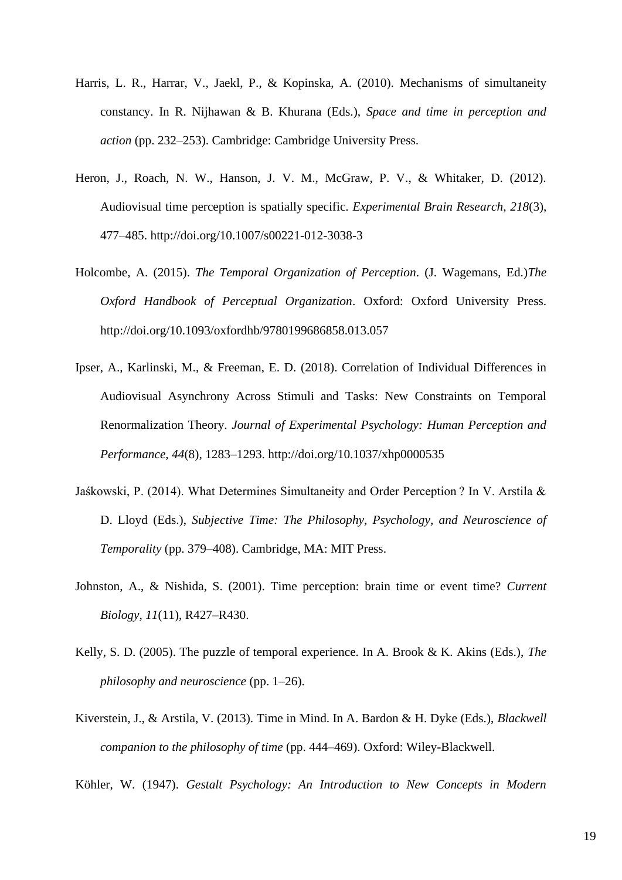- Harris, L. R., Harrar, V., Jaekl, P., & Kopinska, A. (2010). Mechanisms of simultaneity constancy. In R. Nijhawan & B. Khurana (Eds.), *Space and time in perception and action* (pp. 232–253). Cambridge: Cambridge University Press.
- Heron, J., Roach, N. W., Hanson, J. V. M., McGraw, P. V., & Whitaker, D. (2012). Audiovisual time perception is spatially specific. *Experimental Brain Research*, *218*(3), 477–485. http://doi.org/10.1007/s00221-012-3038-3
- Holcombe, A. (2015). *The Temporal Organization of Perception*. (J. Wagemans, Ed.)*The Oxford Handbook of Perceptual Organization*. Oxford: Oxford University Press. http://doi.org/10.1093/oxfordhb/9780199686858.013.057
- Ipser, A., Karlinski, M., & Freeman, E. D. (2018). Correlation of Individual Differences in Audiovisual Asynchrony Across Stimuli and Tasks: New Constraints on Temporal Renormalization Theory. *Journal of Experimental Psychology: Human Perception and Performance*, *44*(8), 1283–1293. http://doi.org/10.1037/xhp0000535
- Jaśkowski, P. (2014). What Determines Simultaneity and Order Perception ? In V. Arstila & D. Lloyd (Eds.), *Subjective Time: The Philosophy, Psychology, and Neuroscience of Temporality* (pp. 379–408). Cambridge, MA: MIT Press.
- Johnston, A., & Nishida, S. (2001). Time perception: brain time or event time? *Current Biology*, *11*(11), R427–R430.
- Kelly, S. D. (2005). The puzzle of temporal experience. In A. Brook & K. Akins (Eds.), *The philosophy and neuroscience* (pp. 1–26).
- Kiverstein, J., & Arstila, V. (2013). Time in Mind. In A. Bardon & H. Dyke (Eds.), *Blackwell companion to the philosophy of time* (pp. 444–469). Oxford: Wiley-Blackwell.

Köhler, W. (1947). *Gestalt Psychology: An Introduction to New Concepts in Modern*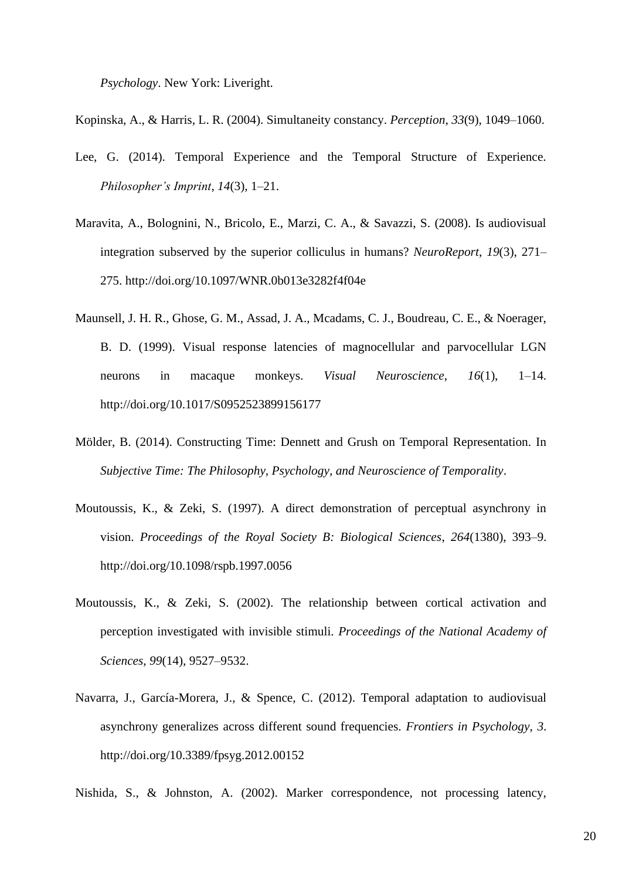*Psychology*. New York: Liveright.

Kopinska, A., & Harris, L. R. (2004). Simultaneity constancy. *Perception*, *33*(9), 1049–1060.

- Lee, G. (2014). Temporal Experience and the Temporal Structure of Experience. *Philosopher's Imprint*, *14*(3), 1–21.
- Maravita, A., Bolognini, N., Bricolo, E., Marzi, C. A., & Savazzi, S. (2008). Is audiovisual integration subserved by the superior colliculus in humans? *NeuroReport*, *19*(3), 271– 275. http://doi.org/10.1097/WNR.0b013e3282f4f04e
- Maunsell, J. H. R., Ghose, G. M., Assad, J. A., Mcadams, C. J., Boudreau, C. E., & Noerager, B. D. (1999). Visual response latencies of magnocellular and parvocellular LGN neurons in macaque monkeys. *Visual Neuroscience*, *16*(1), 1–14. http://doi.org/10.1017/S0952523899156177
- Mölder, B. (2014). Constructing Time: Dennett and Grush on Temporal Representation. In *Subjective Time: The Philosophy, Psychology, and Neuroscience of Temporality*.
- Moutoussis, K., & Zeki, S. (1997). A direct demonstration of perceptual asynchrony in vision. *Proceedings of the Royal Society B: Biological Sciences*, *264*(1380), 393–9. http://doi.org/10.1098/rspb.1997.0056
- Moutoussis, K., & Zeki, S. (2002). The relationship between cortical activation and perception investigated with invisible stimuli. *Proceedings of the National Academy of Sciences*, *99*(14), 9527–9532.
- Navarra, J., García-Morera, J., & Spence, C. (2012). Temporal adaptation to audiovisual asynchrony generalizes across different sound frequencies. *Frontiers in Psychology*, *3*. http://doi.org/10.3389/fpsyg.2012.00152

Nishida, S., & Johnston, A. (2002). Marker correspondence, not processing latency,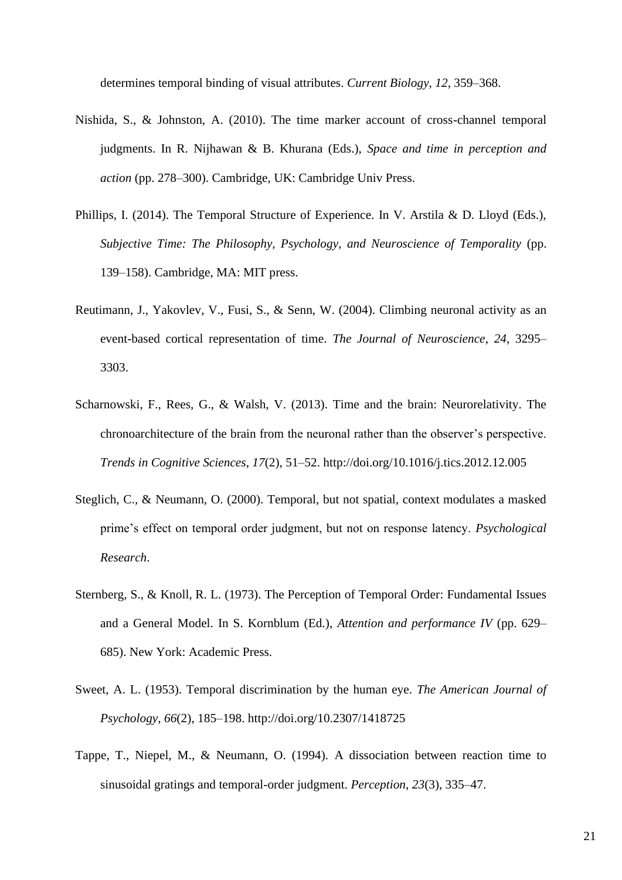determines temporal binding of visual attributes. *Current Biology*, *12*, 359–368.

- Nishida, S., & Johnston, A. (2010). The time marker account of cross-channel temporal judgments. In R. Nijhawan & B. Khurana (Eds.), *Space and time in perception and action* (pp. 278–300). Cambridge, UK: Cambridge Univ Press.
- Phillips, I. (2014). The Temporal Structure of Experience. In V. Arstila & D. Lloyd (Eds.), *Subjective Time: The Philosophy, Psychology, and Neuroscience of Temporality* (pp. 139–158). Cambridge, MA: MIT press.
- Reutimann, J., Yakovlev, V., Fusi, S., & Senn, W. (2004). Climbing neuronal activity as an event-based cortical representation of time. *The Journal of Neuroscience*, *24*, 3295– 3303.
- Scharnowski, F., Rees, G., & Walsh, V. (2013). Time and the brain: Neurorelativity. The chronoarchitecture of the brain from the neuronal rather than the observer's perspective. *Trends in Cognitive Sciences*, *17*(2), 51–52. http://doi.org/10.1016/j.tics.2012.12.005
- Steglich, C., & Neumann, O. (2000). Temporal, but not spatial, context modulates a masked prime's effect on temporal order judgment, but not on response latency. *Psychological Research*.
- Sternberg, S., & Knoll, R. L. (1973). The Perception of Temporal Order: Fundamental Issues and a General Model. In S. Kornblum (Ed.), *Attention and performance IV* (pp. 629– 685). New York: Academic Press.
- Sweet, A. L. (1953). Temporal discrimination by the human eye. *The American Journal of Psychology*, *66*(2), 185–198. http://doi.org/10.2307/1418725
- Tappe, T., Niepel, M., & Neumann, O. (1994). A dissociation between reaction time to sinusoidal gratings and temporal-order judgment. *Perception*, *23*(3), 335–47.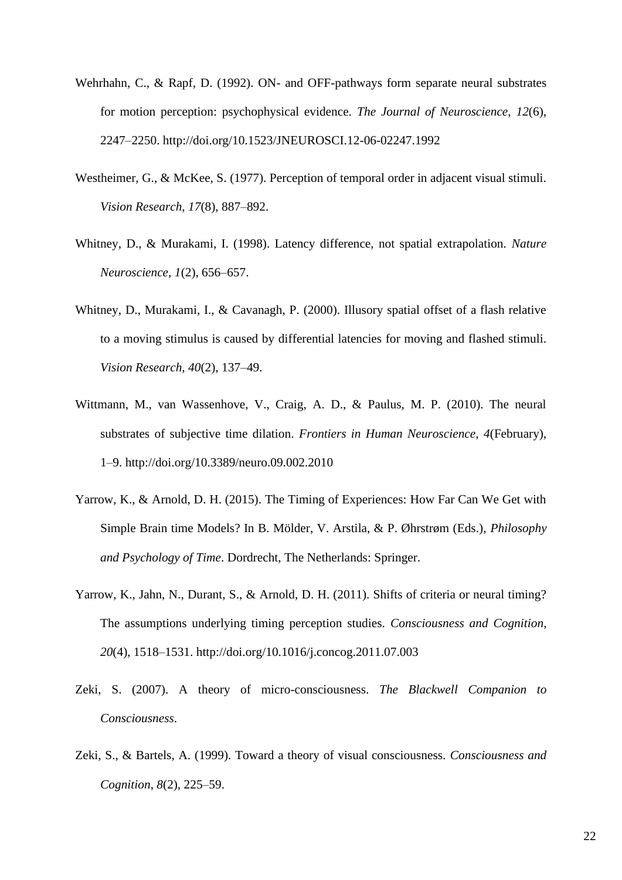- Wehrhahn, C., & Rapf, D. (1992). ON- and OFF-pathways form separate neural substrates for motion perception: psychophysical evidence. *The Journal of Neuroscience*, *12*(6), 2247–2250. http://doi.org/10.1523/JNEUROSCI.12-06-02247.1992
- Westheimer, G., & McKee, S. (1977). Perception of temporal order in adjacent visual stimuli. *Vision Research*, *17*(8), 887–892.
- Whitney, D., & Murakami, I. (1998). Latency difference, not spatial extrapolation. *Nature Neuroscience*, *1*(2), 656–657.
- Whitney, D., Murakami, I., & Cavanagh, P. (2000). Illusory spatial offset of a flash relative to a moving stimulus is caused by differential latencies for moving and flashed stimuli. *Vision Research*, *40*(2), 137–49.
- Wittmann, M., van Wassenhove, V., Craig, A. D., & Paulus, M. P. (2010). The neural substrates of subjective time dilation. *Frontiers in Human Neuroscience*, *4*(February), 1–9. http://doi.org/10.3389/neuro.09.002.2010
- Yarrow, K., & Arnold, D. H. (2015). The Timing of Experiences: How Far Can We Get with Simple Brain time Models? In B. Mölder, V. Arstila, & P. Øhrstrøm (Eds.), *Philosophy and Psychology of Time*. Dordrecht, The Netherlands: Springer.
- Yarrow, K., Jahn, N., Durant, S., & Arnold, D. H. (2011). Shifts of criteria or neural timing? The assumptions underlying timing perception studies. *Consciousness and Cognition*, *20*(4), 1518–1531. http://doi.org/10.1016/j.concog.2011.07.003
- Zeki, S. (2007). A theory of micro-consciousness. *The Blackwell Companion to Consciousness*.
- Zeki, S., & Bartels, A. (1999). Toward a theory of visual consciousness. *Consciousness and Cognition*, *8*(2), 225–59.